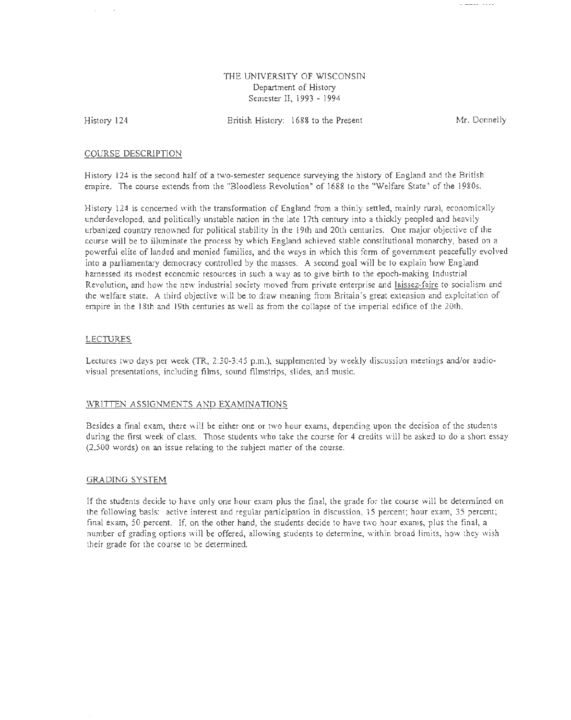## THE UNIVERSITY OF WISCONSIN Department of History Semester II, 1993 - 1994

History 124

British History: 1688 to the Present Mr. Donnelly

## COURSE DESCRIPTION

History 124 is the second half of a two-semester sequence surveying the history of England and the British empire. The course extends from the "Bloodless Revolution" of 1688 to the "Welfare State'' of the 1980s.

History 124 is concerned with the transformation of England from a thinly settled, mainly rural, economically underdeveloped, and politically unstable nation in the late 17th century into a thickly peopled and heavily urbanized country renowned for political stability in the 19th and 20th centuries. One major objective of the course will be to illuminate the process by which England achieved stable constitutional monarchy, based on a powerful elite of landed and monied families, and the ways in which this form of government peacefully evolved into a parliamentary democracy controlled by the masses. A second goal will be to explain how England harnessed its modest economic resources in such a way as to give birth to the epoch-making Industrial Revolution, and how the new industrial society moved from private enterprise and laissez-faire to socialism and the welfare state. A third objective will be to draw meaning from Britain's great extension and exploitation of empire in the 18th and 19th centuries as well as from the collapse of the imperial edifice of the 20th.

#### LECTURES

Lectures two days per week (TR, 2:30-3:45 p.m.), supplemented by weekly discussion meetings and/or audiovisual presentations, including films, sound filmstrips, slides, and music.

## WRITTEN ASSIGNMENTS AND EXAMINATIONS

Besides a final exam, there will be either one or two hour exams, depending upon the decision of the students during the first week of class. Those students who take the course for 4 credits will be asked to do a short essay (2,500 words) on an issue relating to the subject matter of the course.

#### GRADING SYSTEM

If the students decide to have only one hour exam plus the final, the grade for the course will be determined on the following basis: active interest and regular participation in discussion, 15 percent; hour exam, 35 percent; final exam, 50 percent. If, on the other hand, the students decide to have two hour exams, plus the final, a number of grading options will be offered, allowing students to determine, within broad limits, how they wish their grade for the course to be determined.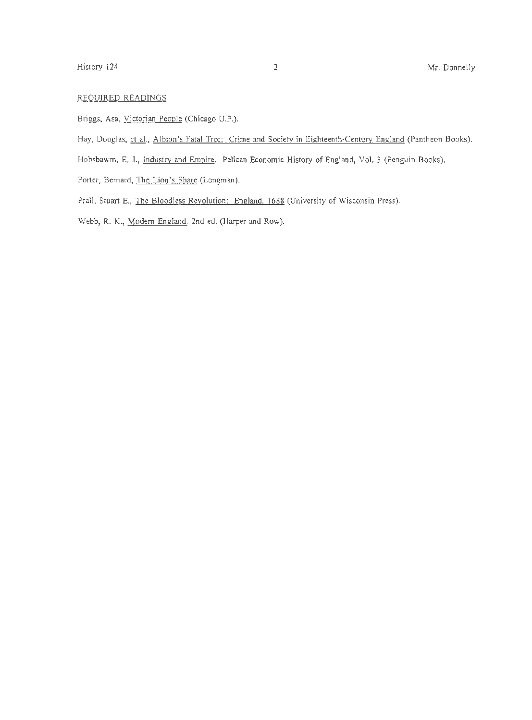# REQUIRED READINGS

- Briggs, Asa, Victorian People (Chicago U.P.).
- Hay, Douglas, et al., Albion's Fatal Tree: Crime and Society in Eighteenth-Century England (Pantheon Books).
- Hobsbawm, E. J., Industry and Empire. Pelican Economic History of England, Vol. 3 (Penguin Books).
- Porter, Bernard, The Lion's Share (Longman).
- Prall, Stuart E., The Bloodless Revolution: England. 1688 (University of Wisconsin Press).
- Webb, R. K., Modem England, 2nd ed. (Harper and Row).